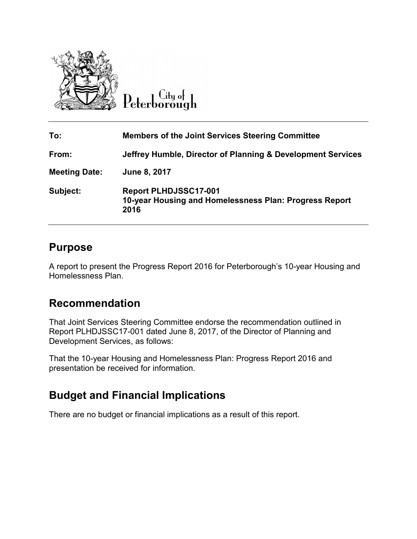

 $\overline{C}$ ity of Peterborough

| To:                  | <b>Members of the Joint Services Steering Committee</b>                                        |
|----------------------|------------------------------------------------------------------------------------------------|
| From:                | Jeffrey Humble, Director of Planning & Development Services                                    |
| <b>Meeting Date:</b> | June 8, 2017                                                                                   |
| Subject:             | <b>Report PLHDJSSC17-001</b><br>10-year Housing and Homelessness Plan: Progress Report<br>2016 |

### **Purpose**

A report to present the Progress Report 2016 for Peterborough's 10-year Housing and Homelessness Plan.

## **Recommendation**

That Joint Services Steering Committee endorse the recommendation outlined in Report PLHDJSSC17-001 dated June 8, 2017, of the Director of Planning and Development Services, as follows:

That the 10-year Housing and Homelessness Plan: Progress Report 2016 and presentation be received for information.

# **Budget and Financial Implications**

There are no budget or financial implications as a result of this report.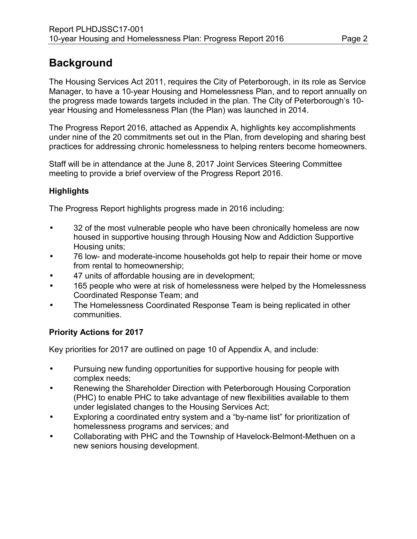# **Background**

The Housing Services Act 2011, requires the City of Peterborough, in its role as Service Manager, to have a 10-year Housing and Homelessness Plan, and to report annually on the progress made towards targets included in the plan. The City of Peterborough's 10 year Housing and Homelessness Plan (the Plan) was launched in 2014.

The Progress Report 2016, attached as Appendix A, highlights key accomplishments under nine of the 20 commitments set out in the Plan, from developing and sharing best practices for addressing chronic homelessness to helping renters become homeowners.

Staff will be in attendance at the June 8, 2017 Joint Services Steering Committee meeting to provide a brief overview of the Progress Report 2016.

### **Highlights**

The Progress Report highlights progress made in 2016 including:

- 32 of the most vulnerable people who have been chronically homeless are now housed in supportive housing through Housing Now and Addiction Supportive Housing units;
- 76 low- and moderate-income households got help to repair their home or move from rental to homeownership;
- 47 units of affordable housing are in development;
- 165 people who were at risk of homelessness were helped by the Homelessness Coordinated Response Team; and
- The Homelessness Coordinated Response Team is being replicated in other communities.

#### **Priority Actions for 2017**

Key priorities for 2017 are outlined on page 10 of Appendix A, and include:

- Pursuing new funding opportunities for supportive housing for people with complex needs;
- Renewing the Shareholder Direction with Peterborough Housing Corporation (PHC) to enable PHC to take advantage of new flexibilities available to them under legislated changes to the Housing Services Act;
- Exploring a coordinated entry system and a "by-name list" for prioritization of homelessness programs and services; and
- Collaborating with PHC and the Township of Havelock-Belmont-Methuen on a new seniors housing development.